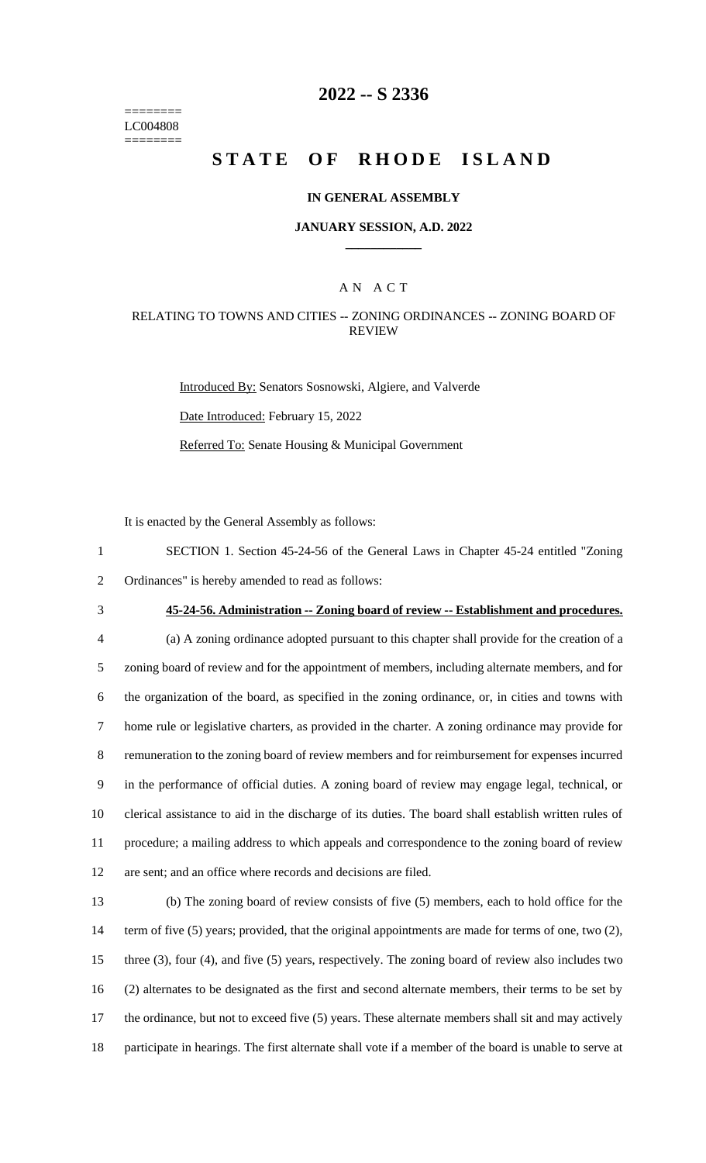======== LC004808 ========

# **2022 -- S 2336**

# **STATE OF RHODE ISLAND**

#### **IN GENERAL ASSEMBLY**

#### **JANUARY SESSION, A.D. 2022 \_\_\_\_\_\_\_\_\_\_\_\_**

## A N A C T

### RELATING TO TOWNS AND CITIES -- ZONING ORDINANCES -- ZONING BOARD OF REVIEW

Introduced By: Senators Sosnowski, Algiere, and Valverde Date Introduced: February 15, 2022 Referred To: Senate Housing & Municipal Government

It is enacted by the General Assembly as follows:

1 SECTION 1. Section 45-24-56 of the General Laws in Chapter 45-24 entitled "Zoning 2 Ordinances" is hereby amended to read as follows:

3 **45-24-56. Administration -- Zoning board of review -- Establishment and procedures.**

 (a) A zoning ordinance adopted pursuant to this chapter shall provide for the creation of a zoning board of review and for the appointment of members, including alternate members, and for the organization of the board, as specified in the zoning ordinance, or, in cities and towns with home rule or legislative charters, as provided in the charter. A zoning ordinance may provide for remuneration to the zoning board of review members and for reimbursement for expenses incurred in the performance of official duties. A zoning board of review may engage legal, technical, or clerical assistance to aid in the discharge of its duties. The board shall establish written rules of procedure; a mailing address to which appeals and correspondence to the zoning board of review are sent; and an office where records and decisions are filed.

 (b) The zoning board of review consists of five (5) members, each to hold office for the 14 term of five (5) years; provided, that the original appointments are made for terms of one, two (2), three (3), four (4), and five (5) years, respectively. The zoning board of review also includes two (2) alternates to be designated as the first and second alternate members, their terms to be set by the ordinance, but not to exceed five (5) years. These alternate members shall sit and may actively participate in hearings. The first alternate shall vote if a member of the board is unable to serve at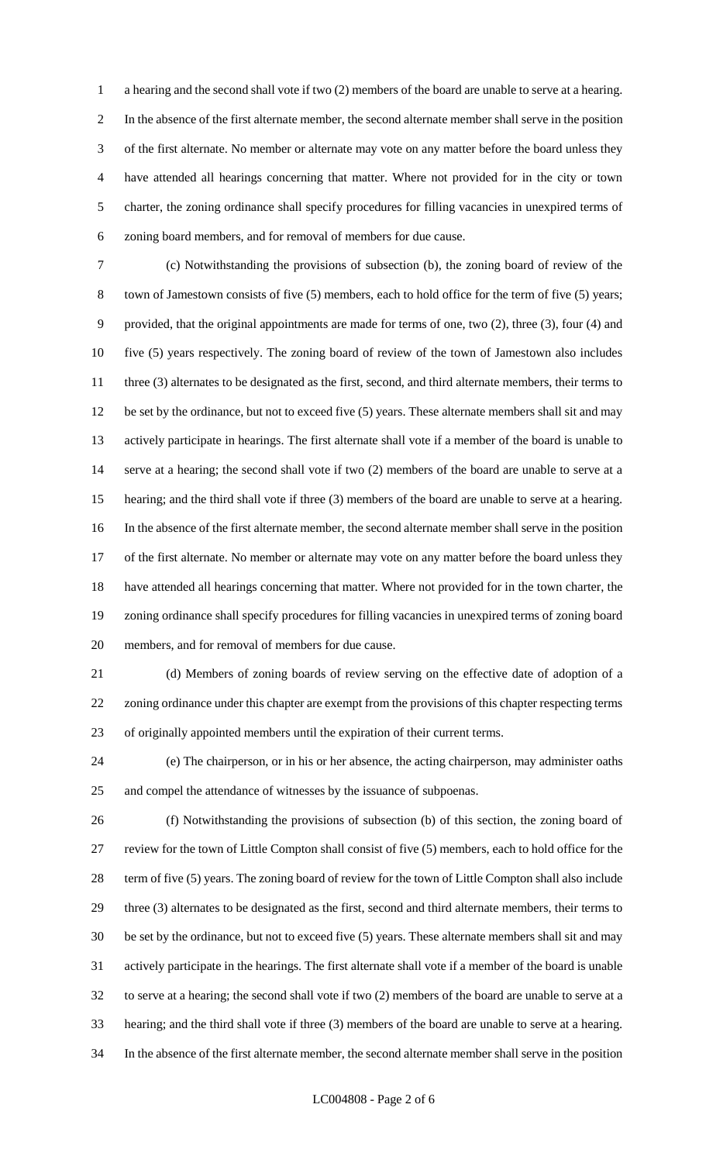a hearing and the second shall vote if two (2) members of the board are unable to serve at a hearing. In the absence of the first alternate member, the second alternate member shall serve in the position of the first alternate. No member or alternate may vote on any matter before the board unless they have attended all hearings concerning that matter. Where not provided for in the city or town charter, the zoning ordinance shall specify procedures for filling vacancies in unexpired terms of zoning board members, and for removal of members for due cause.

 (c) Notwithstanding the provisions of subsection (b), the zoning board of review of the town of Jamestown consists of five (5) members, each to hold office for the term of five (5) years; provided, that the original appointments are made for terms of one, two (2), three (3), four (4) and five (5) years respectively. The zoning board of review of the town of Jamestown also includes 11 three (3) alternates to be designated as the first, second, and third alternate members, their terms to be set by the ordinance, but not to exceed five (5) years. These alternate members shall sit and may actively participate in hearings. The first alternate shall vote if a member of the board is unable to serve at a hearing; the second shall vote if two (2) members of the board are unable to serve at a hearing; and the third shall vote if three (3) members of the board are unable to serve at a hearing. In the absence of the first alternate member, the second alternate member shall serve in the position of the first alternate. No member or alternate may vote on any matter before the board unless they have attended all hearings concerning that matter. Where not provided for in the town charter, the zoning ordinance shall specify procedures for filling vacancies in unexpired terms of zoning board members, and for removal of members for due cause.

 (d) Members of zoning boards of review serving on the effective date of adoption of a zoning ordinance under this chapter are exempt from the provisions of this chapter respecting terms of originally appointed members until the expiration of their current terms.

 (e) The chairperson, or in his or her absence, the acting chairperson, may administer oaths and compel the attendance of witnesses by the issuance of subpoenas.

 (f) Notwithstanding the provisions of subsection (b) of this section, the zoning board of review for the town of Little Compton shall consist of five (5) members, each to hold office for the term of five (5) years. The zoning board of review for the town of Little Compton shall also include three (3) alternates to be designated as the first, second and third alternate members, their terms to be set by the ordinance, but not to exceed five (5) years. These alternate members shall sit and may actively participate in the hearings. The first alternate shall vote if a member of the board is unable to serve at a hearing; the second shall vote if two (2) members of the board are unable to serve at a hearing; and the third shall vote if three (3) members of the board are unable to serve at a hearing. In the absence of the first alternate member, the second alternate member shall serve in the position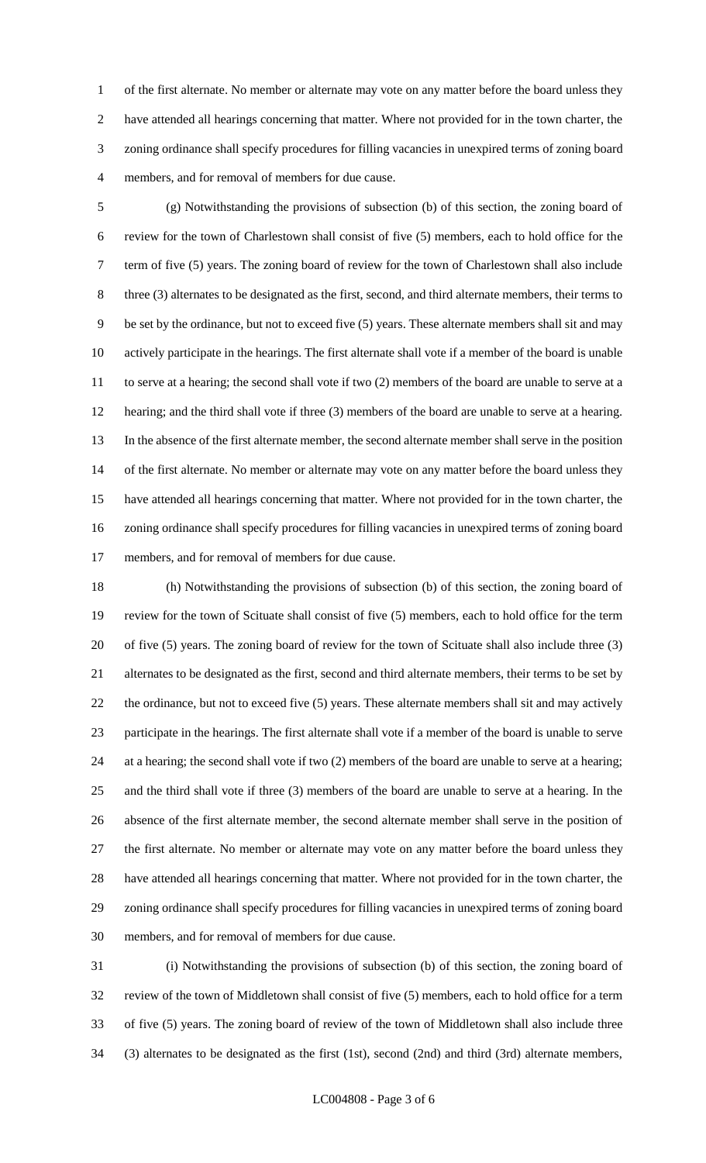of the first alternate. No member or alternate may vote on any matter before the board unless they have attended all hearings concerning that matter. Where not provided for in the town charter, the zoning ordinance shall specify procedures for filling vacancies in unexpired terms of zoning board members, and for removal of members for due cause.

 (g) Notwithstanding the provisions of subsection (b) of this section, the zoning board of review for the town of Charlestown shall consist of five (5) members, each to hold office for the term of five (5) years. The zoning board of review for the town of Charlestown shall also include three (3) alternates to be designated as the first, second, and third alternate members, their terms to be set by the ordinance, but not to exceed five (5) years. These alternate members shall sit and may actively participate in the hearings. The first alternate shall vote if a member of the board is unable to serve at a hearing; the second shall vote if two (2) members of the board are unable to serve at a hearing; and the third shall vote if three (3) members of the board are unable to serve at a hearing. In the absence of the first alternate member, the second alternate member shall serve in the position of the first alternate. No member or alternate may vote on any matter before the board unless they have attended all hearings concerning that matter. Where not provided for in the town charter, the zoning ordinance shall specify procedures for filling vacancies in unexpired terms of zoning board members, and for removal of members for due cause.

 (h) Notwithstanding the provisions of subsection (b) of this section, the zoning board of review for the town of Scituate shall consist of five (5) members, each to hold office for the term of five (5) years. The zoning board of review for the town of Scituate shall also include three (3) alternates to be designated as the first, second and third alternate members, their terms to be set by the ordinance, but not to exceed five (5) years. These alternate members shall sit and may actively participate in the hearings. The first alternate shall vote if a member of the board is unable to serve at a hearing; the second shall vote if two (2) members of the board are unable to serve at a hearing; and the third shall vote if three (3) members of the board are unable to serve at a hearing. In the absence of the first alternate member, the second alternate member shall serve in the position of the first alternate. No member or alternate may vote on any matter before the board unless they have attended all hearings concerning that matter. Where not provided for in the town charter, the zoning ordinance shall specify procedures for filling vacancies in unexpired terms of zoning board members, and for removal of members for due cause.

 (i) Notwithstanding the provisions of subsection (b) of this section, the zoning board of review of the town of Middletown shall consist of five (5) members, each to hold office for a term of five (5) years. The zoning board of review of the town of Middletown shall also include three (3) alternates to be designated as the first (1st), second (2nd) and third (3rd) alternate members,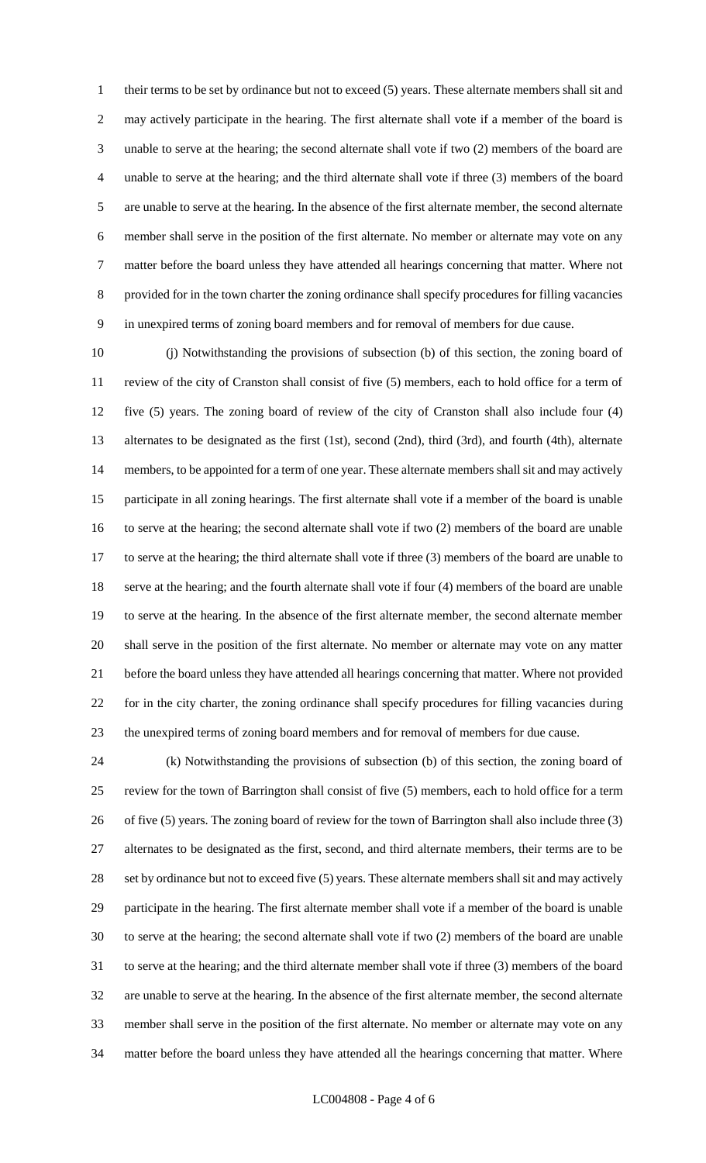their terms to be set by ordinance but not to exceed (5) years. These alternate members shall sit and may actively participate in the hearing. The first alternate shall vote if a member of the board is unable to serve at the hearing; the second alternate shall vote if two (2) members of the board are unable to serve at the hearing; and the third alternate shall vote if three (3) members of the board are unable to serve at the hearing. In the absence of the first alternate member, the second alternate member shall serve in the position of the first alternate. No member or alternate may vote on any matter before the board unless they have attended all hearings concerning that matter. Where not provided for in the town charter the zoning ordinance shall specify procedures for filling vacancies in unexpired terms of zoning board members and for removal of members for due cause.

 (j) Notwithstanding the provisions of subsection (b) of this section, the zoning board of review of the city of Cranston shall consist of five (5) members, each to hold office for a term of five (5) years. The zoning board of review of the city of Cranston shall also include four (4) alternates to be designated as the first (1st), second (2nd), third (3rd), and fourth (4th), alternate members, to be appointed for a term of one year. These alternate members shall sit and may actively participate in all zoning hearings. The first alternate shall vote if a member of the board is unable to serve at the hearing; the second alternate shall vote if two (2) members of the board are unable to serve at the hearing; the third alternate shall vote if three (3) members of the board are unable to serve at the hearing; and the fourth alternate shall vote if four (4) members of the board are unable to serve at the hearing. In the absence of the first alternate member, the second alternate member shall serve in the position of the first alternate. No member or alternate may vote on any matter before the board unless they have attended all hearings concerning that matter. Where not provided for in the city charter, the zoning ordinance shall specify procedures for filling vacancies during the unexpired terms of zoning board members and for removal of members for due cause.

 (k) Notwithstanding the provisions of subsection (b) of this section, the zoning board of review for the town of Barrington shall consist of five (5) members, each to hold office for a term of five (5) years. The zoning board of review for the town of Barrington shall also include three (3) alternates to be designated as the first, second, and third alternate members, their terms are to be 28 set by ordinance but not to exceed five (5) years. These alternate members shall sit and may actively participate in the hearing. The first alternate member shall vote if a member of the board is unable to serve at the hearing; the second alternate shall vote if two (2) members of the board are unable to serve at the hearing; and the third alternate member shall vote if three (3) members of the board are unable to serve at the hearing. In the absence of the first alternate member, the second alternate member shall serve in the position of the first alternate. No member or alternate may vote on any matter before the board unless they have attended all the hearings concerning that matter. Where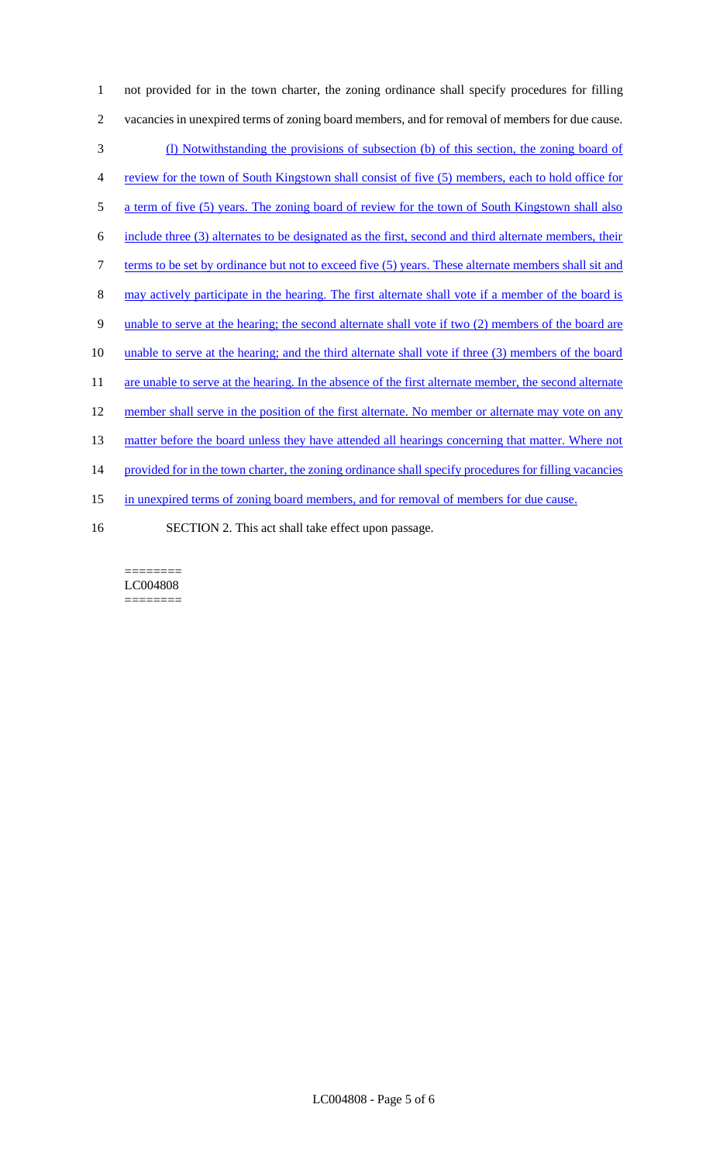not provided for in the town charter, the zoning ordinance shall specify procedures for filling vacancies in unexpired terms of zoning board members, and for removal of members for due cause. (l) Notwithstanding the provisions of subsection (b) of this section, the zoning board of review for the town of South Kingstown shall consist of five (5) members, each to hold office for a term of five (5) years. The zoning board of review for the town of South Kingstown shall also include three (3) alternates to be designated as the first, second and third alternate members, their 7 terms to be set by ordinance but not to exceed five (5) years. These alternate members shall sit and may actively participate in the hearing. The first alternate shall vote if a member of the board is unable to serve at the hearing; the second alternate shall vote if two (2) members of the board are unable to serve at the hearing; and the third alternate shall vote if three (3) members of the board 11 are unable to serve at the hearing. In the absence of the first alternate member, the second alternate 12 member shall serve in the position of the first alternate. No member or alternate may vote on any 13 matter before the board unless they have attended all hearings concerning that matter. Where not 14 provided for in the town charter, the zoning ordinance shall specify procedures for filling vacancies 15 in unexpired terms of zoning board members, and for removal of members for due cause. SECTION 2. This act shall take effect upon passage.

======== LC004808 ========